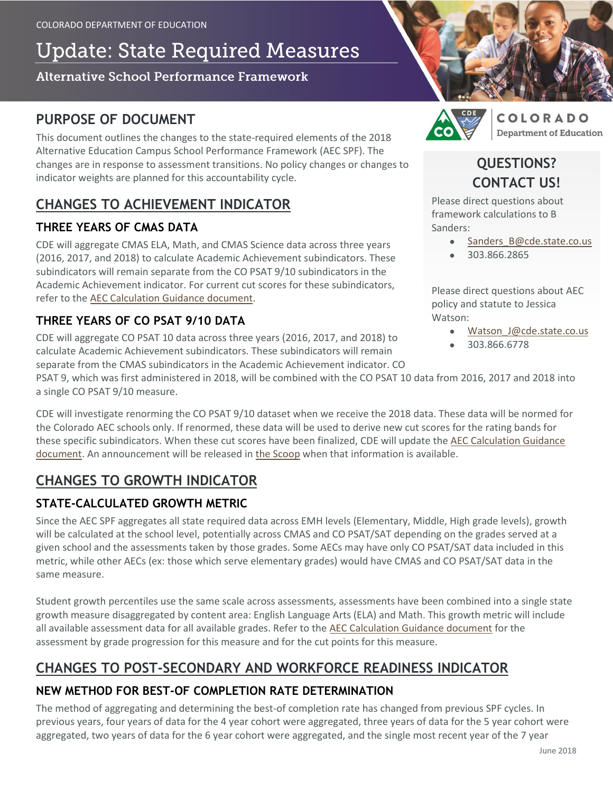# **Update: State Required Measures**

#### Alternative School Performance Framework

### **PURPOSE OF DOCUMENT**

This document outlines the changes to the state-required elements of the 2018 Alternative Education Campus School Performance Framework (AEC SPF). The changes are in response to assessment transitions. No policy changes or changes to indicator weights are planned for this accountability cycle.

## **CHANGES TO ACHIEVEMENT INDICATOR**

#### **THREE YEARS OF CMAS DATA**

CDE will aggregate CMAS ELA, Math, and CMAS Science data across three years (2016, 2017, and 2018) to calculate Academic Achievement subindicators. These subindicators will remain separate from the CO PSAT 9/10 subindicators in the Academic Achievement indicator. For current cut scores for these subindicators, refer to the [AEC Calculation Guidance document.](https://www.cde.state.co.us/accountability/calculation_guidance_for_aec_measures_5_21_18)

#### **THREE YEARS OF CO PSAT 9/10 DATA**

CDE will aggregate CO PSAT 10 data across three years (2016, 2017, and 2018) to calculate Academic Achievement subindicators. These subindicators will remain separate from the CMAS subindicators in the Academic Achievement indicator. CO



COLORADO **Department of Education** 

# **QUESTIONS? CONTACT US!**

Please direct questions about framework calculations to B Sanders:

- Sanders B@cde.state.co.us
- 303.866.2865

Please direct questions about AEC policy and statute to Jessica Watson:

- Watson J@cde.state.co.us
- 303.866.6778

PSAT 9, which was first administered in 2018, will be combined with the CO PSAT 10 data from 2016, 2017 and 2018 into a single CO PSAT 9/10 measure.

CDE will investigate renorming the CO PSAT 9/10 dataset when we receive the 2018 data. These data will be normed for the Colorado AEC schools only. If renormed, these data will be used to derive new cut scores for the rating bands for these specific subindicators. When these cut scores have been finalized, CDE will update the [AEC Calculation Guidance](https://www.cde.state.co.us/accountability/calculation_guidance_for_aec_measures_5_21_18)  [document.](https://www.cde.state.co.us/accountability/calculation_guidance_for_aec_measures_5_21_18) An announcement will be released in [the Scoop](http://eepurl.com/Ai8lf) when that information is available.

## **CHANGES TO GROWTH INDICATOR**

### **STATE-CALCULATED GROWTH METRIC**

Since the AEC SPF aggregates all state required data across EMH levels (Elementary, Middle, High grade levels), growth will be calculated at the school level, potentially across CMAS and CO PSAT/SAT depending on the grades served at a given school and the assessments taken by those grades. Some AECs may have only CO PSAT/SAT data included in this metric, while other AECs (ex: those which serve elementary grades) would have CMAS and CO PSAT/SAT data in the same measure.

Student growth percentiles use the same scale across assessments, assessments have been combined into a single state growth measure disaggregated by content area: English Language Arts (ELA) and Math. This growth metric will include all available assessment data for all available grades. Refer to the [AEC Calculation Guidance document](https://www.cde.state.co.us/accountability/calculation_guidance_for_aec_measures_5_21_18) for the assessment by grade progression for this measure and for the cut points for this measure.

## **CHANGES TO POST-SECONDARY AND WORKFORCE READINESS INDICATOR**

### **NEW METHOD FOR BEST-OF COMPLETION RATE DETERMINATION**

The method of aggregating and determining the best-of completion rate has changed from previous SPF cycles. In previous years, four years of data for the 4 year cohort were aggregated, three years of data for the 5 year cohort were aggregated, two years of data for the 6 year cohort were aggregated, and the single most recent year of the 7 year